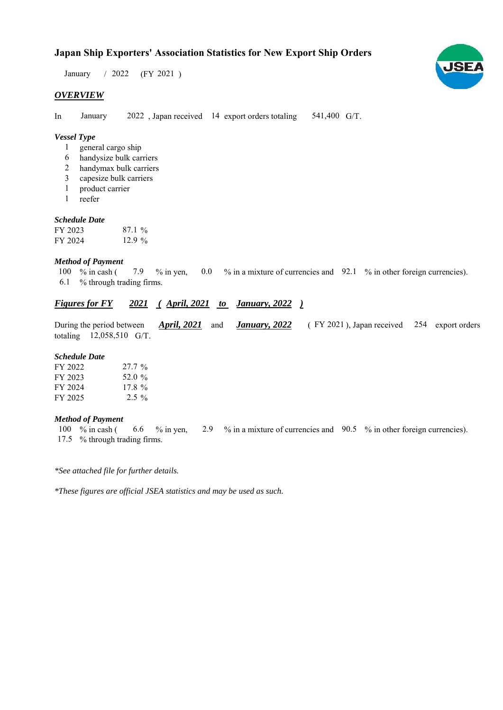## **Japan Ship Exporters' Association Statistics for New Export Ship Orders**

 $/ 2022$  (FY 2021) January

### *OVERVIEW*

In January 2022, Japan received 14 export orders totaling 541,400 G/T. January

### *Vessel Type*

- general cargo ship 1
- handysize bulk carriers 6
- handymax bulk carriers 2
- capesize bulk carriers 3
- product carrier 1
- reefer 1

#### *Schedule Date*

| FY 2023 | $87.1\%$ |
|---------|----------|
| FY 2024 | $12.9\%$ |

#### *Method of Payment*

% in cash ( $\frac{7.9}{8}$  % in yen,  $\frac{0.0}{8}$  % in a mixture of currencies and  $\frac{92.1}{8}$  % in other foreign currencies). % through trading firms. 6.1 7.9 % in yen, 100  $%$  in cash (

## *Figures for FY* 2021 (April, 2021 to January, 2022)

During the period between *April, 2021* and *January, 2022* (FY 2021), Japan received 254 export orders totaling  $12,058,510$  G/T. *January, 2022 April, 2021*

#### *Schedule Date*

| FY 2022 | $27.7\%$ |
|---------|----------|
| FY 2023 | 52.0 %   |
| FY 2024 | $17.8\%$ |
| FY 2025 | $2.5\%$  |

#### *Method of Payment*

% in cash ( $\qquad 6.6 \qquad$ % in yen,  $\qquad 2.9 \qquad$ % in a mixture of currencies and  $\qquad 90.5 \qquad$ % in other foreign currencies). % through trading firms. 17.5100  $%$  in cash (

*\*See attached file for further details.*

*\*These figures are official JSEA statistics and may be used as such.*

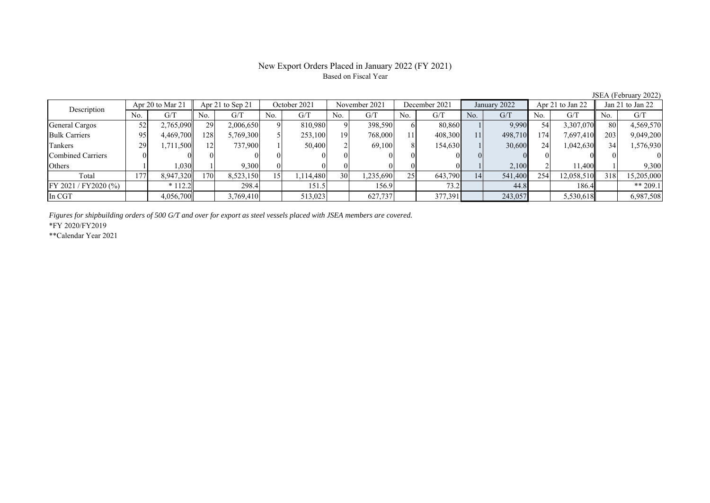### New Export Orders Placed in January 2022 (FY 2021) Based on Fiscal Year

JSEA (February 2022)<br>Jan 21 to Jan 22 No. G/T No. G/T No. G/T No. G/T No. G/T No. G/T No. G/T No. G/T General Cargos | 52 | 2,765,090 || 29 | 2,006,650 | 9 | 810,980 | 9 | 398,590 | 6 | 80,860 | 1 | 9,990 | 54 | 3,307,070 || 80 | 4,569,570 Bulk Carriers | 95| 4,469,700|| 128| 5,769,300| 5| 253,100| 19| 768,000| 11| 408,300| 11| 498,710| 174| 7,697,410|| 203| 9,049,200 Tankers | 29 1,711,500 12 737,900 1 50,400 2 69,100 8 154,630 1 30,600 24 1,042,630 34 1,576,930 Combined Carriers 0 0 0 0 0 0 0 0 0 0 0 0 0 0 0 0 Others 1 1 1,030 1 9,300 0 0 0 0 0 0 1 2,100 2 11,400 1 9,300 Total 177 8,947,320 170 8,523,150 15 1,114,480 30 1,235,690 25 643,790 14 541,400 254 12,058,510 318 15,205,000 FY 2021 / FY2020 (%) \* 112.2 298.4 151.5 156.9 73.2 44.8 186.4 \*\* 209.1 In CGT 4,056,700 3,769,410 513,023 627,737 377,391 243,057 5,530,618 6,987,508 Apr 21 to Sep 21 October 2021 November 2021 Description Apr 20 to Mar 21 | Apr 21 to Sep 21 | October 2021 | November 2021 | December 2021 | January 2022 | Apr 21 to Jan 22

*Figures for shipbuilding orders of 500 G/T and over for export as steel vessels placed with JSEA members are covered.*

\*FY 2020/FY2019

\*\*Calendar Year 2021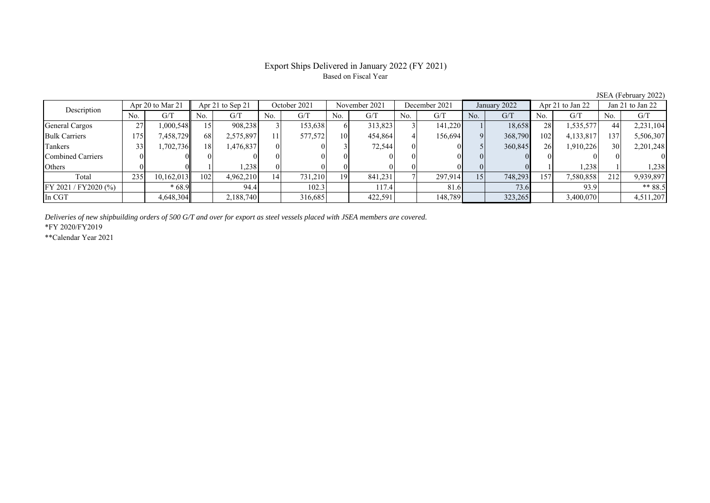## Export Ships Delivered in January 2022 (FY 2021) Based on Fiscal Year

JSEA (February 2022)

| Description          | Apr 20 to Mar 21 | Apr 21 to Sep 21 |     | October 2021 |     | November 2021 |     | December 2021 |     | January 2022 |     | Apr 21 to Jan 22 |           | Jan 21 to Jan 22 |     |           |
|----------------------|------------------|------------------|-----|--------------|-----|---------------|-----|---------------|-----|--------------|-----|------------------|-----------|------------------|-----|-----------|
|                      | No.              | G/T              | No. | G/T          | No. | G/T           | No. | G/T           | No. | G/T          | No. | G/T              | No.       | G/T              | No. | G/T       |
| General Cargos       | 27               | 1.000.548        | 15. | 908,238      |     | 153.638       |     | 313,823       |     | 141,220      |     | 18,658           | 28        | 1,535,577        | 44  | 2,231,104 |
| <b>Bulk Carriers</b> | 175              | 7,458,729        | 68  | 2,575,897    | 11  | 577,572       | 10  | 454,864       |     | 156,694      |     | 368,790          | 102       | 4,133,817        | 137 | 5,506,307 |
| Tankers              |                  | .702,736         | 18  | 1,476,837    |     |               |     | 72,544        |     |              |     | 360,845          | <b>26</b> | 1,910,226        | 30  | 2,201,248 |
| Combined Carriers    |                  |                  |     |              |     |               |     |               |     |              |     |                  |           |                  |     |           |
| Others               |                  |                  |     | 238          |     |               |     |               |     |              |     |                  |           | 1,238            |     | 1,238     |
| Total                | 235              | 10,162,013       | 102 | 4,962,210    | 14  | 731,210       | 19  | 841,231       |     | 297.914      | 15  | 748,293          | 157       | 7,580,858        | 212 | 9,939,897 |
| FY 2021 / FY2020 (%) |                  | $*68.9$          |     | 94.4         |     | 102.3         |     | 117.4         |     | 81.6         |     | 73.6             |           | 93.9             |     | $** 88.5$ |
| In CGT               |                  | 4,648,304        |     | 2,188,740    |     | 316,685       |     | 422,591       |     | 148,789      |     | 323,265          |           | 3,400,070        |     | 4,511,207 |

*Deliveries of new shipbuilding orders of 500 G/T and over for export as steel vessels placed with JSEA members are covered.*

\*FY 2020/FY2019

\*\*Calendar Year 2021